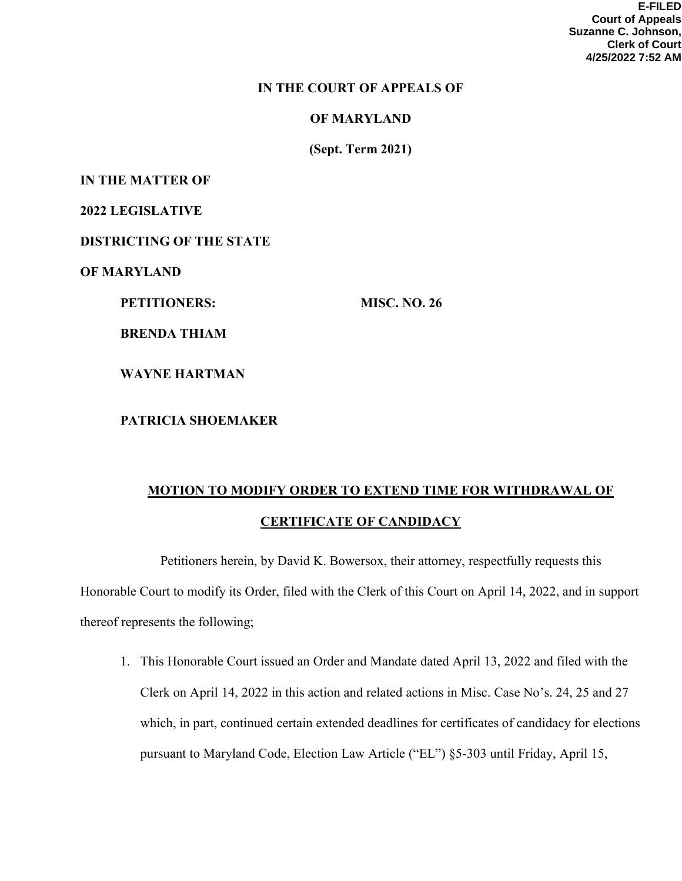**E-FILED Court of Appeals Suzanne C. Johnson, Clerk of Court 4/25/2022 7:52 AM**

## IN THE COURT OF APPEALS OF

OF MARYLAND

(Sept. Term 2021)

IN THE MATTER OF

2022 LEGISLATIVE

DISTRICTING OF THE STATE

OF MARYLAND

PETITIONERS: MISC. NO. 26

BRENDA THIAM

WAYNE HARTMAN

PATRICIA SHOEMAKER

## MOTION TO MODIFY ORDER TO EXTEND TIME FOR WITHDRAWAL OF CERTIFICATE OF CANDIDACY

 Petitioners herein, by David K. Bowersox, their attorney, respectfully requests this Honorable Court to modify its Order, filed with the Clerk of this Court on April 14, 2022, and in support thereof represents the following;

1. This Honorable Court issued an Order and Mandate dated April 13, 2022 and filed with the Clerk on April 14, 2022 in this action and related actions in Misc. Case No's. 24, 25 and 27 which, in part, continued certain extended deadlines for certificates of candidacy for elections pursuant to Maryland Code, Election Law Article ("EL") §5-303 until Friday, April 15,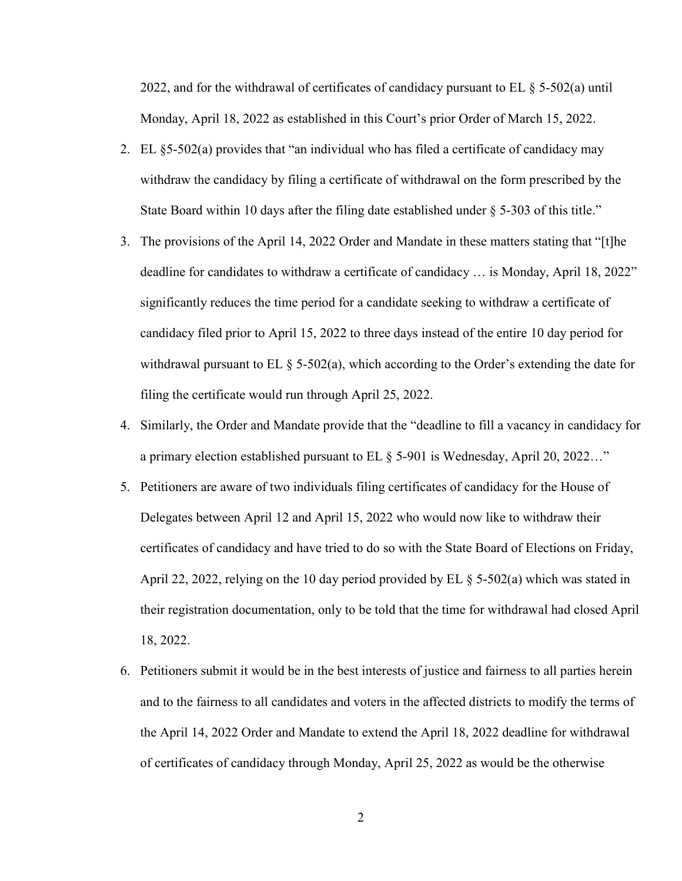2022, and for the withdrawal of certificates of candidacy pursuant to EL  $\S$  5-502(a) until Monday, April 18, 2022 as established in this Court's prior Order of March 15, 2022.

- 2. EL §5-502(a) provides that "an individual who has filed a certificate of candidacy may withdraw the candidacy by filing a certificate of withdrawal on the form prescribed by the State Board within 10 days after the filing date established under § 5-303 of this title."
- 3. The provisions of the April 14, 2022 Order and Mandate in these matters stating that "[t]he deadline for candidates to withdraw a certificate of candidacy … is Monday, April 18, 2022" significantly reduces the time period for a candidate seeking to withdraw a certificate of candidacy filed prior to April 15, 2022 to three days instead of the entire 10 day period for withdrawal pursuant to EL § 5-502(a), which according to the Order's extending the date for filing the certificate would run through April 25, 2022.
- 4. Similarly, the Order and Mandate provide that the "deadline to fill a vacancy in candidacy for a primary election established pursuant to EL § 5-901 is Wednesday, April 20, 2022…"
- 5. Petitioners are aware of two individuals filing certificates of candidacy for the House of Delegates between April 12 and April 15, 2022 who would now like to withdraw their certificates of candidacy and have tried to do so with the State Board of Elections on Friday, April 22, 2022, relying on the 10 day period provided by EL § 5-502(a) which was stated in their registration documentation, only to be told that the time for withdrawal had closed April 18, 2022.
- 6. Petitioners submit it would be in the best interests of justice and fairness to all parties herein and to the fairness to all candidates and voters in the affected districts to modify the terms of the April 14, 2022 Order and Mandate to extend the April 18, 2022 deadline for withdrawal of certificates of candidacy through Monday, April 25, 2022 as would be the otherwise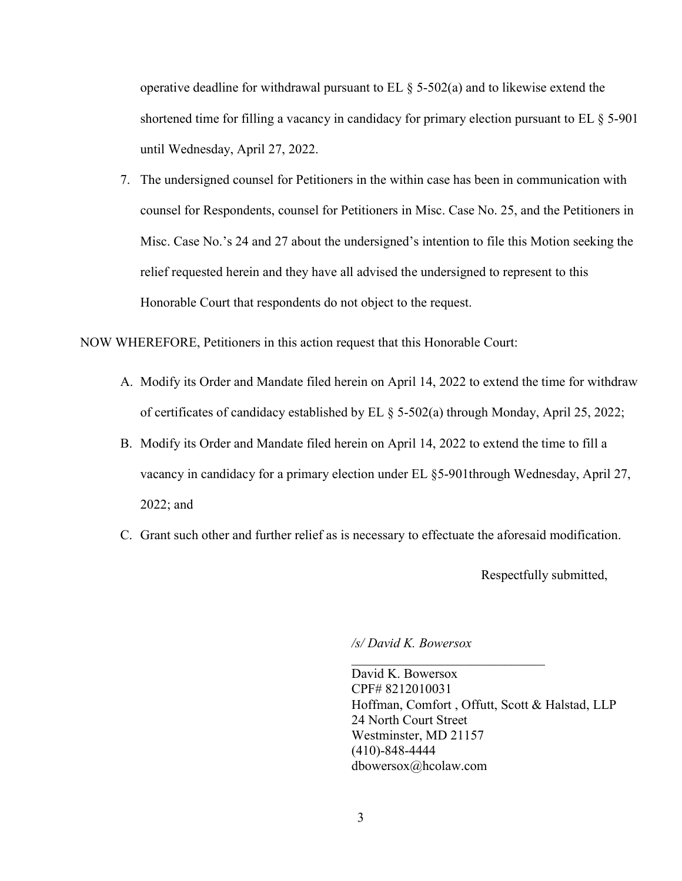operative deadline for withdrawal pursuant to  $EL \$  5-502(a) and to likewise extend the shortened time for filling a vacancy in candidacy for primary election pursuant to EL § 5-901 until Wednesday, April 27, 2022.

7. The undersigned counsel for Petitioners in the within case has been in communication with counsel for Respondents, counsel for Petitioners in Misc. Case No. 25, and the Petitioners in Misc. Case No.'s 24 and 27 about the undersigned's intention to file this Motion seeking the relief requested herein and they have all advised the undersigned to represent to this Honorable Court that respondents do not object to the request.

NOW WHEREFORE, Petitioners in this action request that this Honorable Court:

- A. Modify its Order and Mandate filed herein on April 14, 2022 to extend the time for withdraw of certificates of candidacy established by EL § 5-502(a) through Monday, April 25, 2022;
- B. Modify its Order and Mandate filed herein on April 14, 2022 to extend the time to fill a vacancy in candidacy for a primary election under EL §5-901through Wednesday, April 27, 2022; and
- C. Grant such other and further relief as is necessary to effectuate the aforesaid modification.

Respectfully submitted,

/s/ David K. Bowersox

 David K. Bowersox CPF# 8212010031 Hoffman, Comfort , Offutt, Scott & Halstad, LLP 24 North Court Street Westminster, MD 21157 (410)-848-4444 dbowersox@hcolaw.com